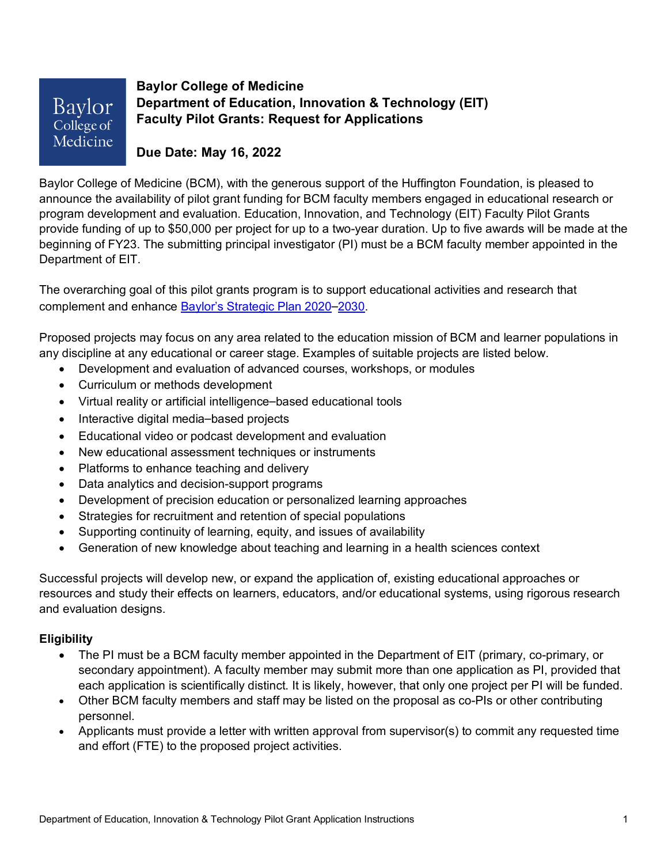Baylor College of Medicine **Baylor College of Medicine Department of Education, Innovation & Technology (EIT) Faculty Pilot Grants: Request for Applications**

**Due Date: May 16, 2022**

Baylor College of Medicine (BCM), with the generous support of the Huffington Foundation, is pleased to announce the availability of pilot grant funding for BCM faculty members engaged in educational research or program development and evaluation. Education, Innovation, and Technology (EIT) Faculty Pilot Grants provide funding of up to \$50,000 per project for up to a two-year duration. Up to five awards will be made at the beginning of FY23. The submitting principal investigator (PI) must be a BCM faculty member appointed in the Department of EIT.

The overarching goal of this pilot grants program is to support educational activities and research that complement and enhance Baylor's Strategic Plan 2020–2030.

Proposed projects may focus on any area related to the education mission of BCM and learner populations in any discipline at any educational or career stage. Examples of suitable projects are listed below.

- Development and evaluation of advanced courses, workshops, or modules
- Curriculum or methods development
- Virtual reality or artificial intelligence–based educational tools
- Interactive digital media–based projects
- Educational video or podcast development and evaluation
- New educational assessment techniques or instruments
- Platforms to enhance teaching and delivery
- Data analytics and decision-support programs
- Development of precision education or personalized learning approaches
- Strategies for recruitment and retention of special populations
- Supporting continuity of learning, equity, and issues of availability
- Generation of new knowledge about teaching and learning in a health sciences context

Successful projects will develop new, or expand the application of, existing educational approaches or resources and study their effects on learners, educators, and/or educational systems, using rigorous research and evaluation designs.

# **Eligibility**

- The PI must be a BCM faculty member appointed in the Department of EIT (primary, co-primary, or secondary appointment). A faculty member may submit more than one application as PI, provided that each application is scientifically distinct. It is likely, however, that only one project per PI will be funded.
- Other BCM faculty members and staff may be listed on the proposal as co-PIs or other contributing personnel.
- Applicants must provide a letter with written approval from supervisor(s) to commit any requested time and effort (FTE) to the proposed project activities.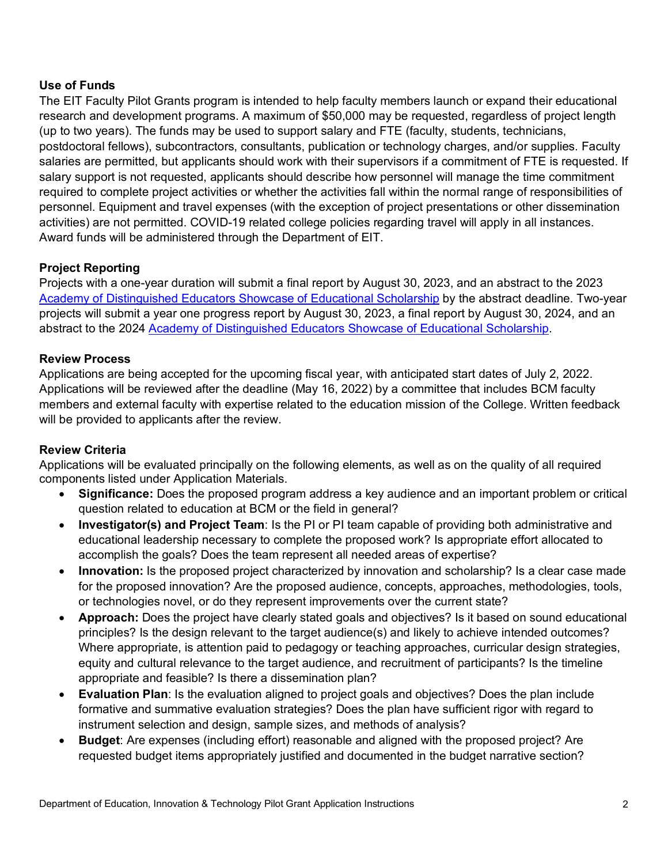#### **Use of Funds**

The EIT Faculty Pilot Grants program is intended to help faculty members launch or expand their educational research and development programs. A maximum of \$50,000 may be requested, regardless of project length (up to two years). The funds may be used to support salary and FTE (faculty, students, technicians, postdoctoral fellows), subcontractors, consultants, publication or technology charges, and/or supplies. Faculty salaries are permitted, but applicants should work with their supervisors if a commitment of FTE is requested. If salary support is not requested, applicants should describe how personnel will manage the time commitment required to complete project activities or whether the activities fall within the normal range of responsibilities of personnel. Equipment and travel expenses (with the exception of project presentations or other dissemination activities) are not permitted. COVID-19 related college policies regarding travel will apply in all instances. Award funds will be administered through the Department of EIT.

## **Project Reporting**

Projects with a one-year duration will submit a final report by August 30, 2023, and an abstract to the 2023 Academy of Distinguished Educators Showcase of Educational Scholarship by the abstract deadline. Two-year projects will submit a year one progress report by August 30, 2023, a final report by August 30, 2024, and an abstract to the 2024 Academy of Distinguished Educators Showcase of Educational Scholarship.

#### **Review Process**

Applications are being accepted for the upcoming fiscal year, with anticipated start dates of July 2, 2022. Applications will be reviewed after the deadline (May 16, 2022) by a committee that includes BCM faculty members and external faculty with expertise related to the education mission of the College. Written feedback will be provided to applicants after the review.

#### **Review Criteria**

Applications will be evaluated principally on the following elements, as well as on the quality of all required components listed under Application Materials.

- **Significance:** Does the proposed program address a key audience and an important problem or critical question related to education at BCM or the field in general?
- **Investigator(s) and Project Team**: Is the PI or PI team capable of providing both administrative and educational leadership necessary to complete the proposed work? Is appropriate effort allocated to accomplish the goals? Does the team represent all needed areas of expertise?
- **Innovation:** Is the proposed project characterized by innovation and scholarship? Is a clear case made for the proposed innovation? Are the proposed audience, concepts, approaches, methodologies, tools, or technologies novel, or do they represent improvements over the current state?
- **Approach:** Does the project have clearly stated goals and objectives? Is it based on sound educational principles? Is the design relevant to the target audience(s) and likely to achieve intended outcomes? Where appropriate, is attention paid to pedagogy or teaching approaches, curricular design strategies, equity and cultural relevance to the target audience, and recruitment of participants? Is the timeline appropriate and feasible? Is there a dissemination plan?
- **Evaluation Plan**: Is the evaluation aligned to project goals and objectives? Does the plan include formative and summative evaluation strategies? Does the plan have sufficient rigor with regard to instrument selection and design, sample sizes, and methods of analysis?
- **Budget**: Are expenses (including effort) reasonable and aligned with the proposed project? Are requested budget items appropriately justified and documented in the budget narrative section?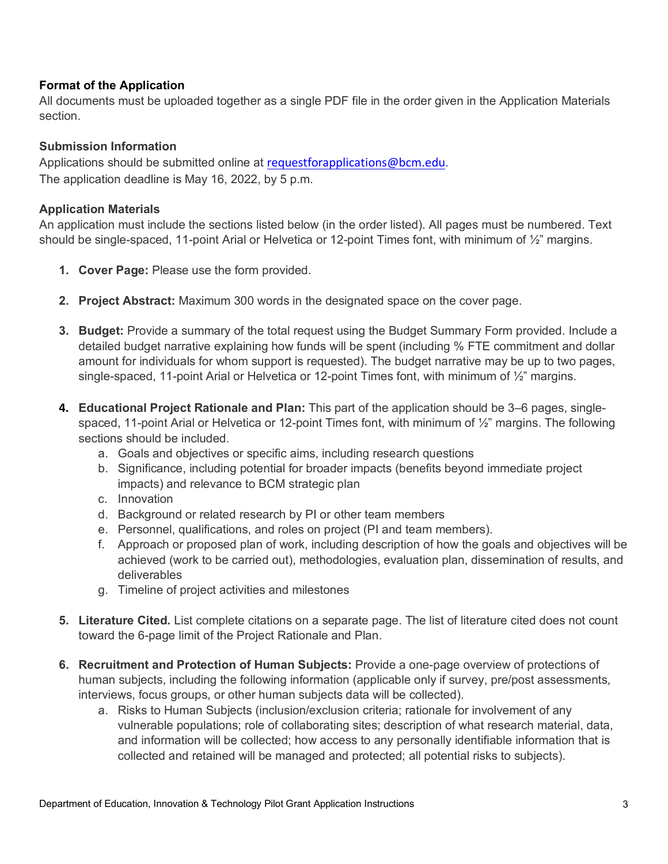## **Format of the Application**

All documents must be uploaded together as a single PDF file in the order given in the Application Materials section.

## **Submission Information**

Applications should be submitted online at requestforapplications@bcm.edu. The application deadline is May 16, 2022, by 5 p.m.

## **Application Materials**

An application must include the sections listed below (in the order listed). All pages must be numbered. Text should be single-spaced, 11-point Arial or Helvetica or 12-point Times font, with minimum of 1/2" margins.

- **1. Cover Page:** Please use the form provided.
- **2. Project Abstract:** Maximum 300 words in the designated space on the cover page.
- **3. Budget:** Provide a summary of the total request using the Budget Summary Form provided. Include a detailed budget narrative explaining how funds will be spent (including % FTE commitment and dollar amount for individuals for whom support is requested). The budget narrative may be up to two pages, single-spaced, 11-point Arial or Helvetica or 12-point Times font, with minimum of ½" margins.
- **4. Educational Project Rationale and Plan:** This part of the application should be 3–6 pages, singlespaced, 11-point Arial or Helvetica or 12-point Times font, with minimum of ½" margins. The following sections should be included.
	- a. Goals and objectives or specific aims, including research questions
	- b. Significance, including potential for broader impacts (benefits beyond immediate project impacts) and relevance to BCM strategic plan
	- c. Innovation
	- d. Background or related research by PI or other team members
	- e. Personnel, qualifications, and roles on project (PI and team members).
	- f. Approach or proposed plan of work, including description of how the goals and objectives will be achieved (work to be carried out), methodologies, evaluation plan, dissemination of results, and deliverables
	- g. Timeline of project activities and milestones
- **5. Literature Cited.** List complete citations on a separate page. The list of literature cited does not count toward the 6-page limit of the Project Rationale and Plan.
- **6. Recruitment and Protection of Human Subjects:** Provide a one-page overview of protections of human subjects, including the following information (applicable only if survey, pre/post assessments, interviews, focus groups, or other human subjects data will be collected).
	- a. Risks to Human Subjects (inclusion/exclusion criteria; rationale for involvement of any vulnerable populations; role of collaborating sites; description of what research material, data, and information will be collected; how access to any personally identifiable information that is collected and retained will be managed and protected; all potential risks to subjects).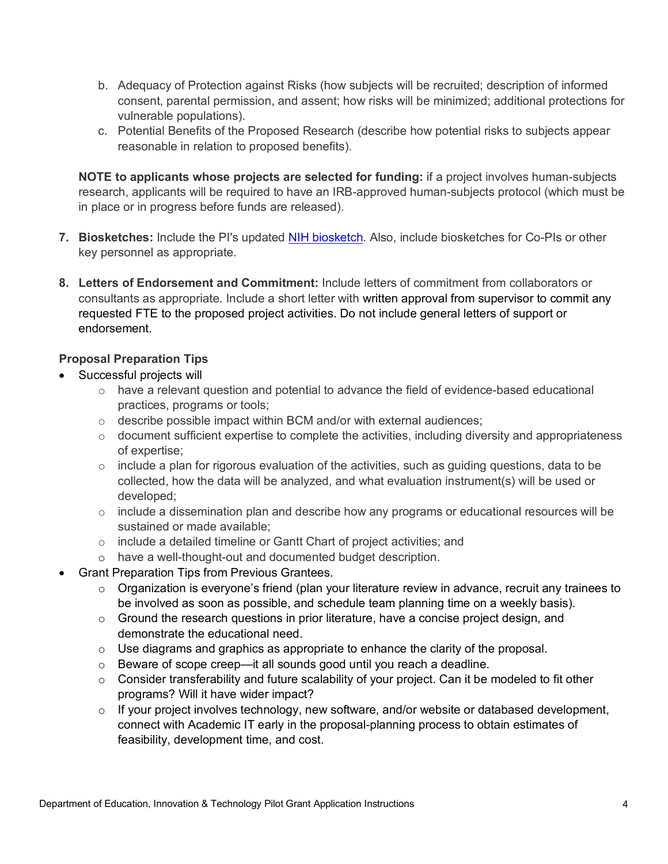- b. Adequacy of Protection against Risks (how subjects will be recruited; description of informed consent, parental permission, and assent; how risks will be minimized; additional protections for vulnerable populations).
- c. Potential Benefits of the Proposed Research (describe how potential risks to subjects appear reasonable in relation to proposed benefits).

**NOTE to applicants whose projects are selected for funding:** if a project involves human-subjects research, applicants will be required to have an IRB-approved human-subjects protocol (which must be in place or in progress before funds are released).

- **7. Biosketches:** Include the PI's updated NIH biosketch. Also, include biosketches for Co-PIs or other key personnel as appropriate.
- **8. Letters of Endorsement and Commitment:** Include letters of commitment from collaborators or consultants as appropriate. Include a short letter with written approval from supervisor to commit any requested FTE to the proposed project activities. Do not include general letters of support or endorsement.

## **Proposal Preparation Tips**

- Successful projects will
	- $\circ$  have a relevant question and potential to advance the field of evidence-based educational practices, programs or tools;
	- o describe possible impact within BCM and/or with external audiences;
	- o document sufficient expertise to complete the activities, including diversity and appropriateness of expertise;
	- $\circ$  include a plan for rigorous evaluation of the activities, such as quiding questions, data to be collected, how the data will be analyzed, and what evaluation instrument(s) will be used or developed;
	- $\circ$  include a dissemination plan and describe how any programs or educational resources will be sustained or made available;
	- o include a detailed timeline or Gantt Chart of project activities; and
	- o have a well-thought-out and documented budget description.
- Grant Preparation Tips from Previous Grantees.
	- o Organization is everyone's friend (plan your literature review in advance, recruit any trainees to be involved as soon as possible, and schedule team planning time on a weekly basis).
	- $\circ$  Ground the research questions in prior literature, have a concise project design, and demonstrate the educational need.
	- $\circ$  Use diagrams and graphics as appropriate to enhance the clarity of the proposal.
	- o Beware of scope creep—it all sounds good until you reach a deadline.
	- $\circ$  Consider transferability and future scalability of your project. Can it be modeled to fit other programs? Will it have wider impact?
	- $\circ$  If your project involves technology, new software, and/or website or databased development, connect with Academic IT early in the proposal-planning process to obtain estimates of feasibility, development time, and cost.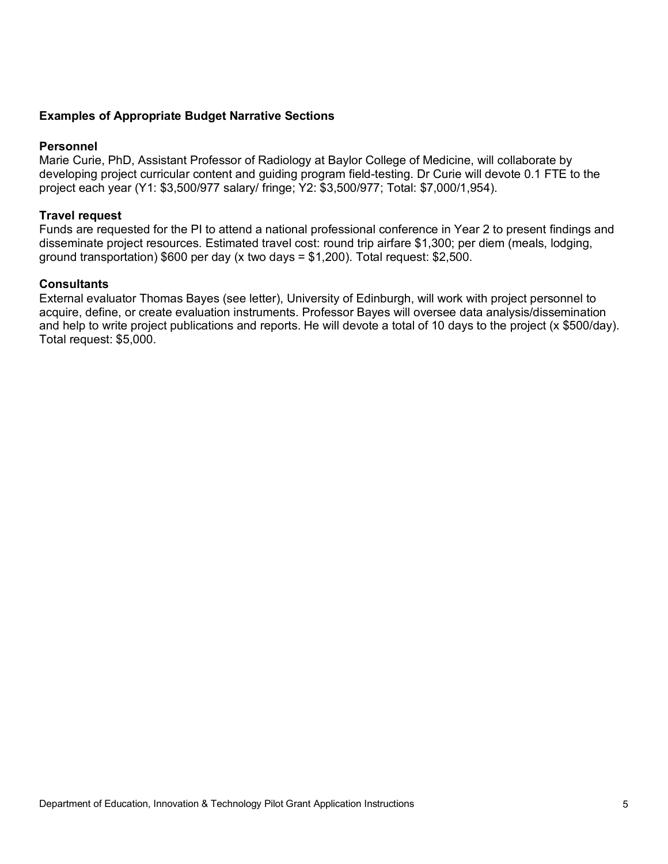#### **Examples of Appropriate Budget Narrative Sections**

#### **Personnel**

Marie Curie, PhD, Assistant Professor of Radiology at Baylor College of Medicine, will collaborate by developing project curricular content and guiding program field-testing. Dr Curie will devote 0.1 FTE to the project each year (Y1: \$3,500/977 salary/ fringe; Y2: \$3,500/977; Total: \$7,000/1,954).

#### **Travel request**

Funds are requested for the PI to attend a national professional conference in Year 2 to present findings and disseminate project resources. Estimated travel cost: round trip airfare \$1,300; per diem (meals, lodging, ground transportation)  $$600$  per day (x two days  $= $1,200$ ). Total request: \$2,500.

#### **Consultants**

External evaluator Thomas Bayes (see letter), University of Edinburgh, will work with project personnel to acquire, define, or create evaluation instruments. Professor Bayes will oversee data analysis/dissemination and help to write project publications and reports. He will devote a total of 10 days to the project (x \$500/day). Total request: \$5,000.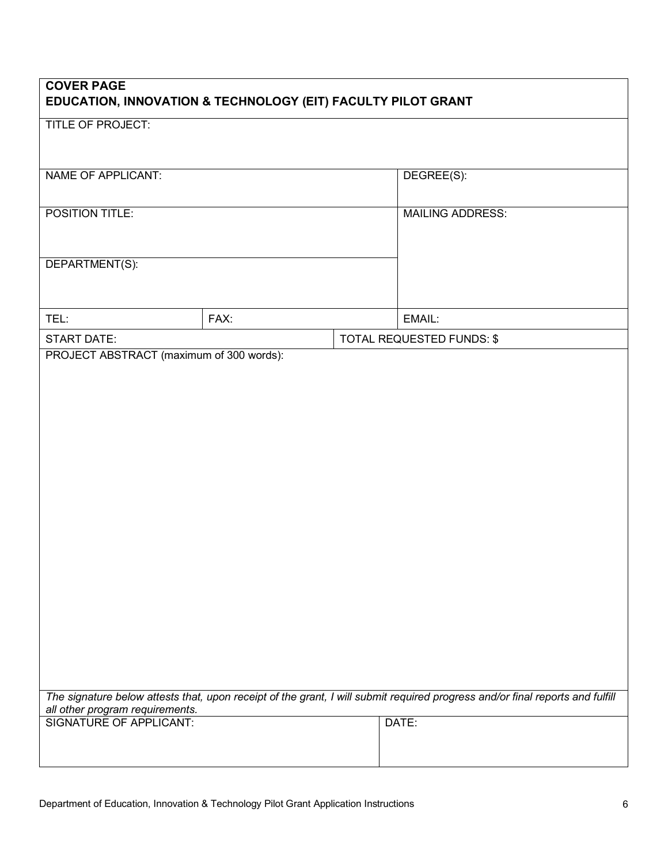| <b>COVER PAGE</b><br>EDUCATION, INNOVATION & TECHNOLOGY (EIT) FACULTY PILOT GRANT |      |  |                                                                                                                               |  |  |
|-----------------------------------------------------------------------------------|------|--|-------------------------------------------------------------------------------------------------------------------------------|--|--|
| <b>TITLE OF PROJECT:</b>                                                          |      |  |                                                                                                                               |  |  |
| <b>NAME OF APPLICANT:</b>                                                         |      |  | DEGREE(S):                                                                                                                    |  |  |
| POSITION TITLE:                                                                   |      |  | <b>MAILING ADDRESS:</b>                                                                                                       |  |  |
| DEPARTMENT(S):                                                                    |      |  |                                                                                                                               |  |  |
| TEL:                                                                              | FAX: |  | EMAIL:                                                                                                                        |  |  |
| <b>START DATE:</b>                                                                |      |  | TOTAL REQUESTED FUNDS: \$                                                                                                     |  |  |
|                                                                                   |      |  | The signature below attests that, upon receipt of the grant, I will submit required progress and/or final reports and fulfill |  |  |
| all other program requirements.<br>SIGNATURE OF APPLICANT:                        |      |  | DATE:                                                                                                                         |  |  |
|                                                                                   |      |  |                                                                                                                               |  |  |